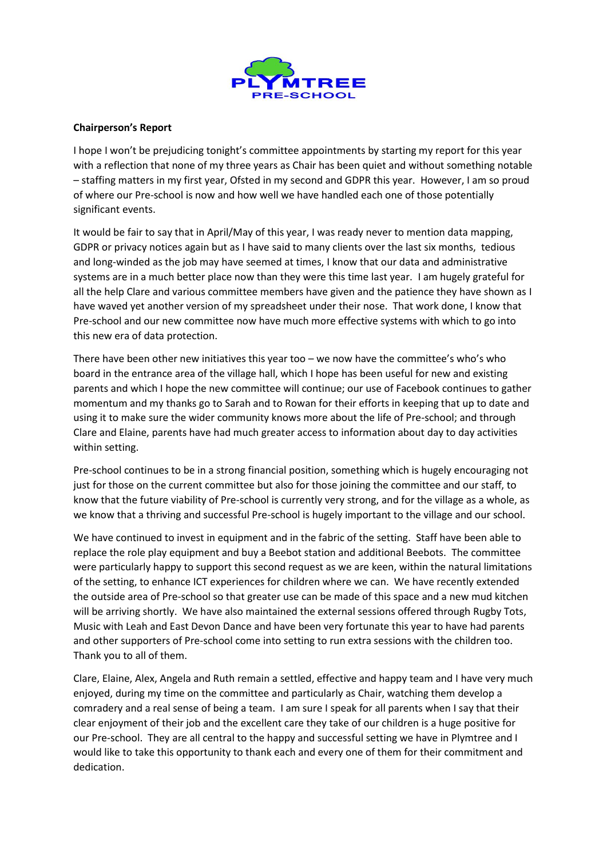

## **Chairperson's Report**

I hope I won't be prejudicing tonight's committee appointments by starting my report for this year with a reflection that none of my three years as Chair has been quiet and without something notable – staffing matters in my first year, Ofsted in my second and GDPR this year. However, I am so proud of where our Pre-school is now and how well we have handled each one of those potentially significant events.

It would be fair to say that in April/May of this year, I was ready never to mention data mapping, GDPR or privacy notices again but as I have said to many clients over the last six months, tedious and long-winded as the job may have seemed at times, I know that our data and administrative systems are in a much better place now than they were this time last year. I am hugely grateful for all the help Clare and various committee members have given and the patience they have shown as I have waved yet another version of my spreadsheet under their nose. That work done, I know that Pre-school and our new committee now have much more effective systems with which to go into this new era of data protection.

There have been other new initiatives this year too – we now have the committee's who's who board in the entrance area of the village hall, which I hope has been useful for new and existing parents and which I hope the new committee will continue; our use of Facebook continues to gather momentum and my thanks go to Sarah and to Rowan for their efforts in keeping that up to date and using it to make sure the wider community knows more about the life of Pre-school; and through Clare and Elaine, parents have had much greater access to information about day to day activities within setting.

Pre-school continues to be in a strong financial position, something which is hugely encouraging not just for those on the current committee but also for those joining the committee and our staff, to know that the future viability of Pre-school is currently very strong, and for the village as a whole, as we know that a thriving and successful Pre-school is hugely important to the village and our school.

We have continued to invest in equipment and in the fabric of the setting. Staff have been able to replace the role play equipment and buy a Beebot station and additional Beebots. The committee were particularly happy to support this second request as we are keen, within the natural limitations of the setting, to enhance ICT experiences for children where we can. We have recently extended the outside area of Pre-school so that greater use can be made of this space and a new mud kitchen will be arriving shortly. We have also maintained the external sessions offered through Rugby Tots, Music with Leah and East Devon Dance and have been very fortunate this year to have had parents and other supporters of Pre-school come into setting to run extra sessions with the children too. Thank you to all of them.

Clare, Elaine, Alex, Angela and Ruth remain a settled, effective and happy team and I have very much enjoyed, during my time on the committee and particularly as Chair, watching them develop a comradery and a real sense of being a team. I am sure I speak for all parents when I say that their clear enjoyment of their job and the excellent care they take of our children is a huge positive for our Pre-school. They are all central to the happy and successful setting we have in Plymtree and I would like to take this opportunity to thank each and every one of them for their commitment and dedication.